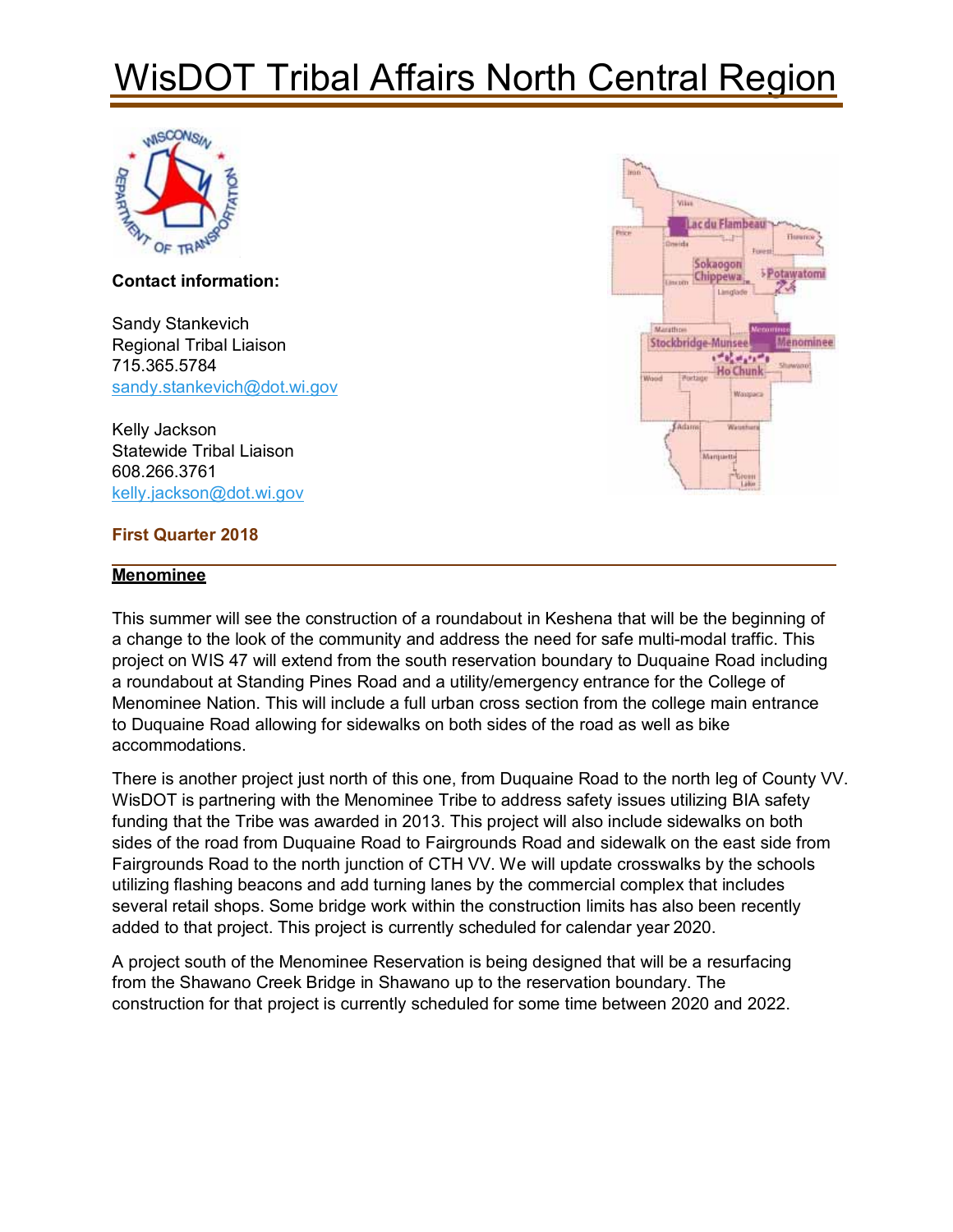# WisDOT Tribal Affairs North Central Region



**Contact information:** 

Sandy Stankevich Regional Tribal Liaison 715.365.5784 sandy.stankevich@dot.wi.gov

Kelly Jackson Statewide Tribal Liaison 608.266.3761 kelly.jackson@dot.wi.gov

#### **First Quarter 2018**

#### **Menominee**



This summer will see the construction of a roundabout in Keshena that will be the beginning of a change to the look of the community and address the need for safe multi-modal traffic. This project on WIS 47 will extend from the south reservation boundary to Duquaine Road including a roundabout at Standing Pines Road and a utility/emergency entrance for the College of Menominee Nation. This will include a full urban cross section from the college main entrance to Duquaine Road allowing for sidewalks on both sides of the road as well as bike accommodations.

There is another project just north of this one, from Duquaine Road to the north leg of County VV. WisDOT is partnering with the Menominee Tribe to address safety issues utilizing BIA safety funding that the Tribe was awarded in 2013. This project will also include sidewalks on both sides of the road from Duquaine Road to Fairgrounds Road and sidewalk on the east side from Fairgrounds Road to the north junction of CTH VV. We will update crosswalks by the schools utilizing flashing beacons and add turning lanes by the commercial complex that includes several retail shops. Some bridge work within the construction limits has also been recently added to that project. This project is currently scheduled for calendar year 2020.

A project south of the Menominee Reservation is being designed that will be a resurfacing from the Shawano Creek Bridge in Shawano up to the reservation boundary. The construction for that project is currently scheduled for some time between 2020 and 2022.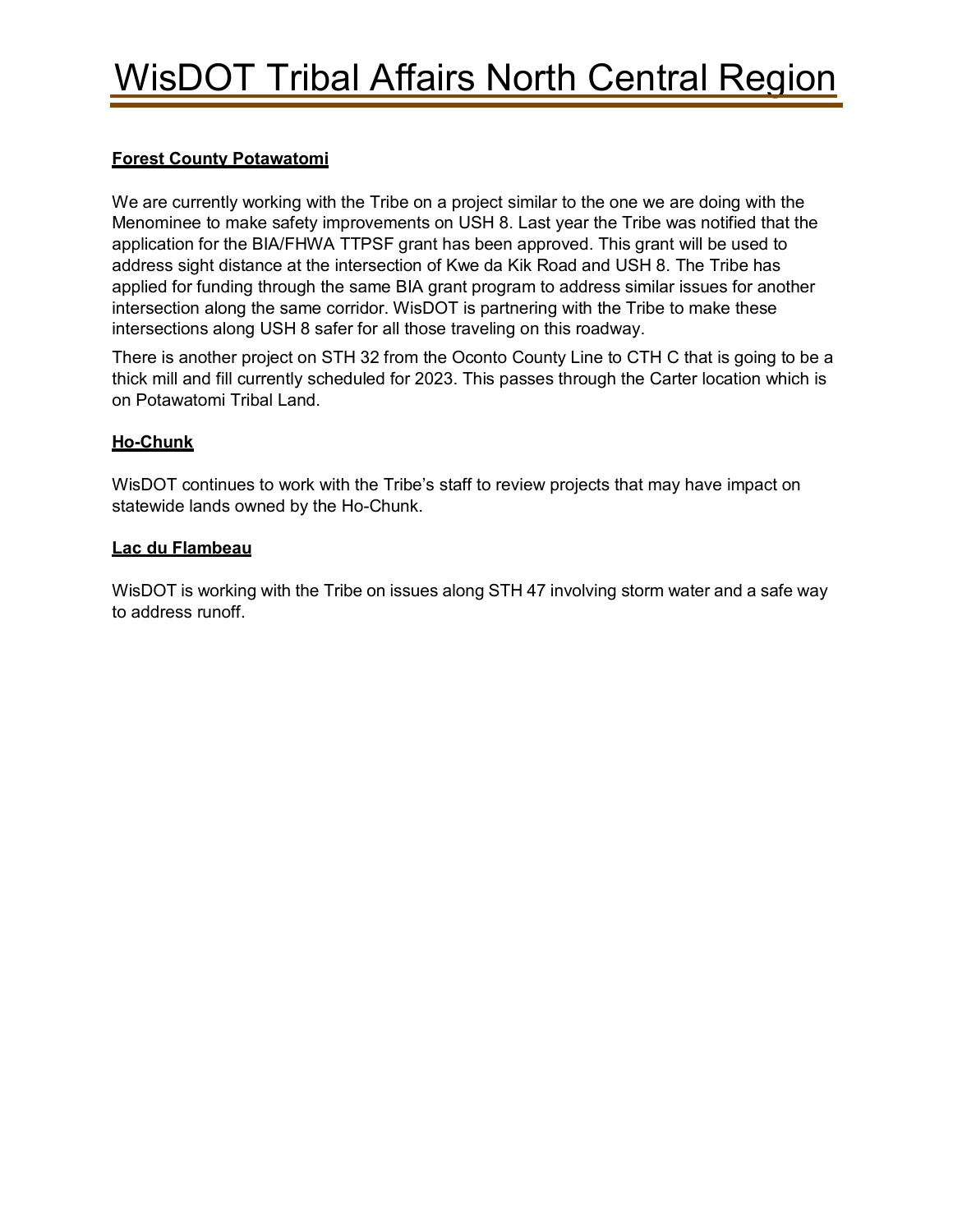### **Forest County Potawatomi**

We are currently working with the Tribe on a project similar to the one we are doing with the Menominee to make safety improvements on USH 8. Last year the Tribe was notified that the application for the BIA/FHWA TTPSF grant has been approved. This grant will be used to address sight distance at the intersection of Kwe da Kik Road and USH 8. The Tribe has applied for funding through the same BIA grant program to address similar issues for another intersection along the same corridor. WisDOT is partnering with the Tribe to make these intersections along USH 8 safer for all those traveling on this roadway.

There is another project on STH 32 from the Oconto County Line to CTH C that is going to be a thick mill and fill currently scheduled for 2023. This passes through the Carter location which is on Potawatomi Tribal Land.

### **Ho-Chunk**

WisDOT continues to work with the Tribe's staff to review projects that may have impact on statewide lands owned by the Ho-Chunk.

#### **Lac du Flambeau**

WisDOT is working with the Tribe on issues along STH 47 involving storm water and a safe way to address runoff.